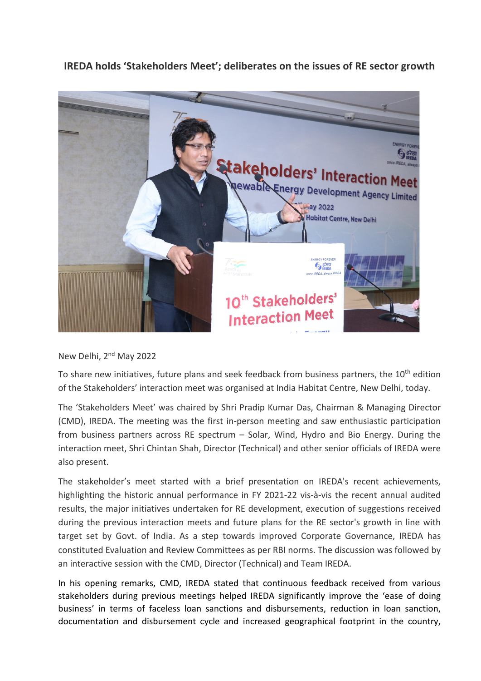**IREDA holds 'Stakeholders Meet'; deliberates on the issues of RE sector growth** 



New Delhi, 2nd May 2022

To share new initiatives, future plans and seek feedback from business partners, the 10<sup>th</sup> edition of the Stakeholders' interaction meet was organised at India Habitat Centre, New Delhi, today.

The 'Stakeholders Meet' was chaired by Shri Pradip Kumar Das, Chairman & Managing Director (CMD), IREDA. The meeting was the first in-person meeting and saw enthusiastic participation from business partners across RE spectrum – Solar, Wind, Hydro and Bio Energy. During the interaction meet, Shri Chintan Shah, Director (Technical) and other senior officials of IREDA were also present.

The stakeholder's meet started with a brief presentation on IREDA's recent achievements, highlighting the historic annual performance in FY 2021-22 vis-à-vis the recent annual audited results, the major initiatives undertaken for RE development, execution of suggestions received during the previous interaction meets and future plans for the RE sector's growth in line with target set by Govt. of India. As a step towards improved Corporate Governance, IREDA has constituted Evaluation and Review Committees as per RBI norms. The discussion was followed by an interactive session with the CMD, Director (Technical) and Team IREDA.

In his opening remarks, CMD, IREDA stated that continuous feedback received from various stakeholders during previous meetings helped IREDA significantly improve the 'ease of doing business' in terms of faceless loan sanctions and disbursements, reduction in loan sanction, documentation and disbursement cycle and increased geographical footprint in the country,